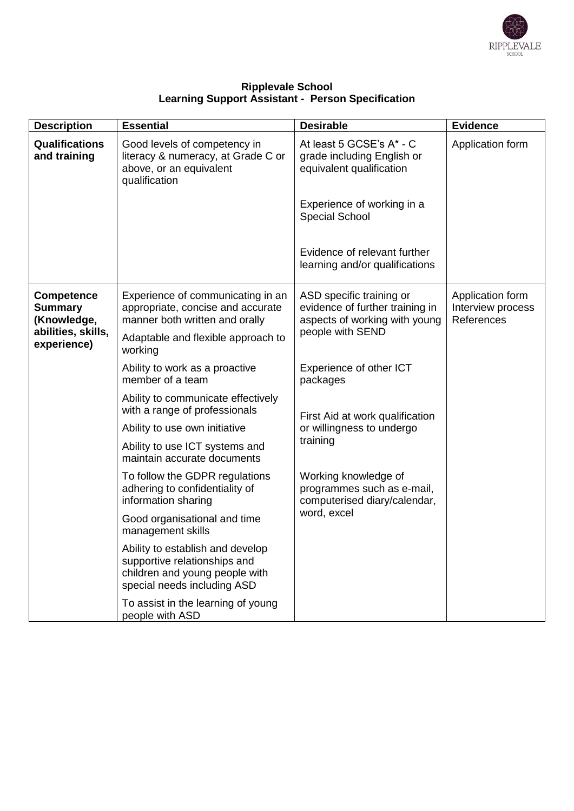

| <b>Ripplevale School</b>                                 |  |  |  |  |
|----------------------------------------------------------|--|--|--|--|
| <b>Learning Support Assistant - Person Specification</b> |  |  |  |  |

| <b>Description</b>                                                                      | <b>Essential</b>                                                                                                                                                      | <b>Desirable</b>                                                                                                 | <b>Evidence</b>                                     |
|-----------------------------------------------------------------------------------------|-----------------------------------------------------------------------------------------------------------------------------------------------------------------------|------------------------------------------------------------------------------------------------------------------|-----------------------------------------------------|
| <b>Qualifications</b><br>and training                                                   | Good levels of competency in<br>literacy & numeracy, at Grade C or<br>above, or an equivalent<br>qualification                                                        | At least 5 GCSE's A* - C<br>grade including English or<br>equivalent qualification                               | Application form                                    |
|                                                                                         |                                                                                                                                                                       | Experience of working in a<br><b>Special School</b>                                                              |                                                     |
|                                                                                         |                                                                                                                                                                       | Evidence of relevant further<br>learning and/or qualifications                                                   |                                                     |
| <b>Competence</b><br><b>Summary</b><br>(Knowledge,<br>abilities, skills,<br>experience) | Experience of communicating in an<br>appropriate, concise and accurate<br>manner both written and orally<br>Adaptable and flexible approach to                        | ASD specific training or<br>evidence of further training in<br>aspects of working with young<br>people with SEND | Application form<br>Interview process<br>References |
|                                                                                         | working<br>Ability to work as a proactive<br>member of a team                                                                                                         | Experience of other ICT<br>packages                                                                              |                                                     |
|                                                                                         | Ability to communicate effectively<br>with a range of professionals<br>Ability to use own initiative<br>Ability to use ICT systems and<br>maintain accurate documents | First Aid at work qualification<br>or willingness to undergo<br>training                                         |                                                     |
|                                                                                         | To follow the GDPR regulations<br>adhering to confidentiality of<br>information sharing                                                                               | Working knowledge of<br>programmes such as e-mail,<br>computerised diary/calendar,<br>word, excel                |                                                     |
|                                                                                         | Good organisational and time<br>management skills                                                                                                                     |                                                                                                                  |                                                     |
|                                                                                         | Ability to establish and develop<br>supportive relationships and<br>children and young people with<br>special needs including ASD                                     |                                                                                                                  |                                                     |
|                                                                                         | To assist in the learning of young<br>people with ASD                                                                                                                 |                                                                                                                  |                                                     |